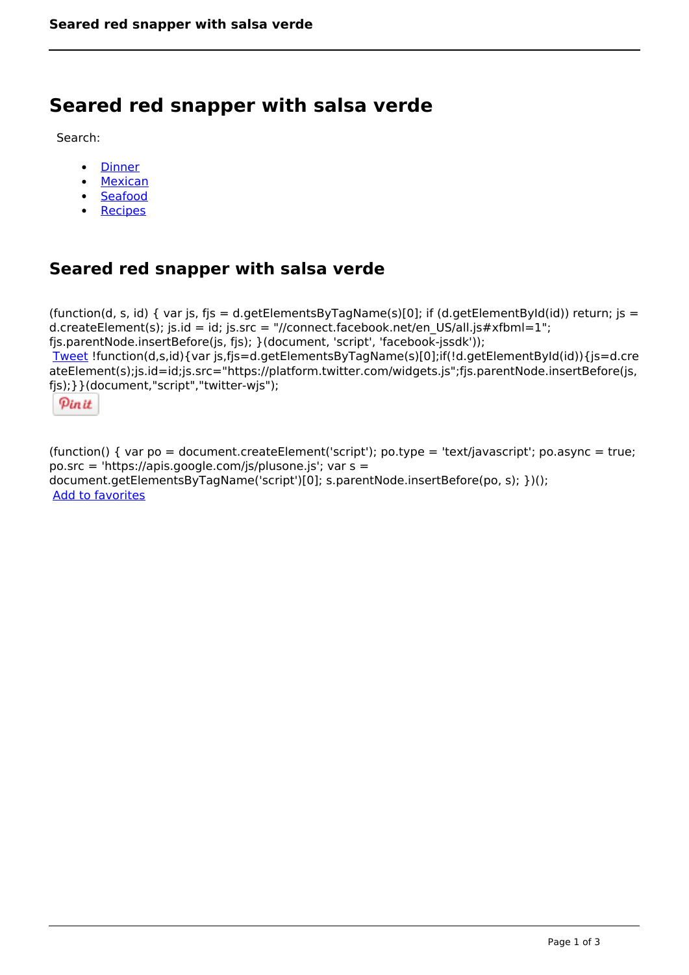# **Seared red snapper with salsa verde**

Search:

- [Dinner](https://www.naturalhealthmag.com.au/nourish/dinner-ideas)
- [Mexican](https://www.naturalhealthmag.com.au/nourish/mexican)
- **[Seafood](https://www.naturalhealthmag.com.au/nourish/seafood)**
- [Recipes](https://www.naturalhealthmag.com.au/nourish/recipes)

# **Seared red snapper with salsa verde**

(function(d, s, id) { var js, fjs = d.getElementsByTagName(s)[0]; if (d.getElementById(id)) return; js = d.createElement(s); js.id = id; js.src = "//connect.facebook.net/en\_US/all.js#xfbml=1"; fjs.parentNode.insertBefore(js, fjs); }(document, 'script', 'facebook-jssdk')); [Tweet](https://twitter.com/share) !function(d,s,id){var js,fjs=d.getElementsByTagName(s)[0];if(!d.getElementById(id)){js=d.cre ateElement(s);js.id=id;js.src="https://platform.twitter.com/widgets.js";fjs.parentNode.insertBefore(js, fjs);}}(document,"script","twitter-wjs");

Pinit

(function() { var po = document.createElement('script'); po.type = 'text/javascript'; po.async = true; po.src = 'https://apis.google.com/js/plusone.js'; var s = document.getElementsByTagName('script')[0]; s.parentNode.insertBefore(po, s); })(); Add to favorites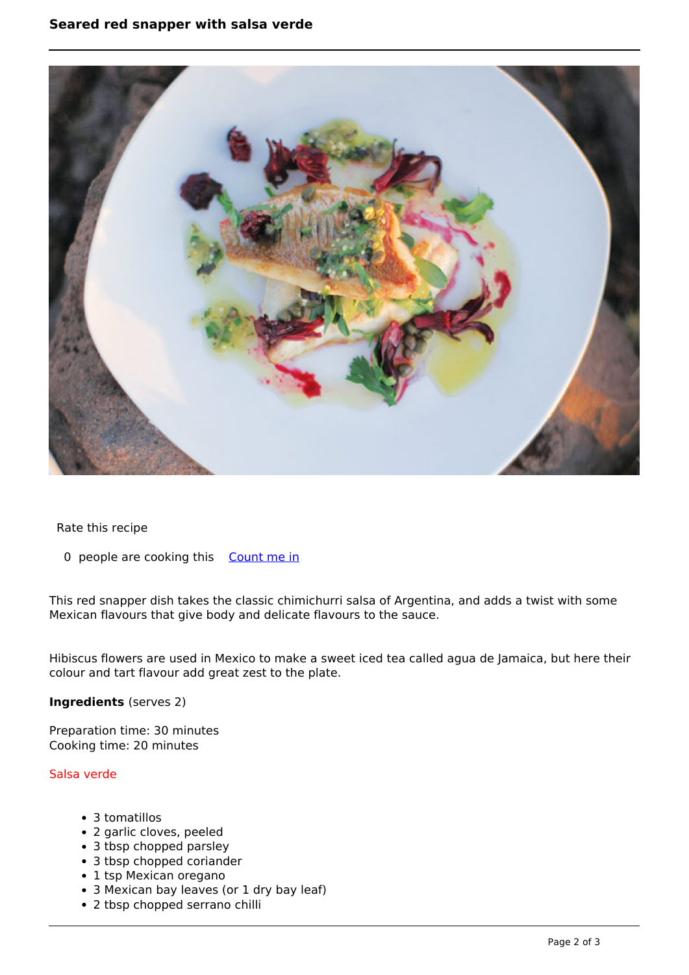# **Seared red snapper with salsa verde**



Rate this recipe

0 people are cooking this [Count me in](https://www.naturalhealthmag.com.au/flag/flag/favorites/1317?destination=printpdf%2F1317&token=e12135001b5302fa53b46d314304a835)

This red snapper dish takes the classic chimichurri salsa of Argentina, and adds a twist with some Mexican flavours that give body and delicate flavours to the sauce.

Hibiscus flowers are used in Mexico to make a sweet iced tea called agua de Jamaica, but here their colour and tart flavour add great zest to the plate.

#### **Ingredients** (serves 2)

Preparation time: 30 minutes Cooking time: 20 minutes

#### Salsa verde

- 3 tomatillos
- 2 garlic cloves, peeled
- 3 tbsp chopped parsley
- 3 tbsp chopped coriander
- 1 tsp Mexican oregano
- 3 Mexican bay leaves (or 1 dry bay leaf)
- 2 tbsp chopped serrano chilli